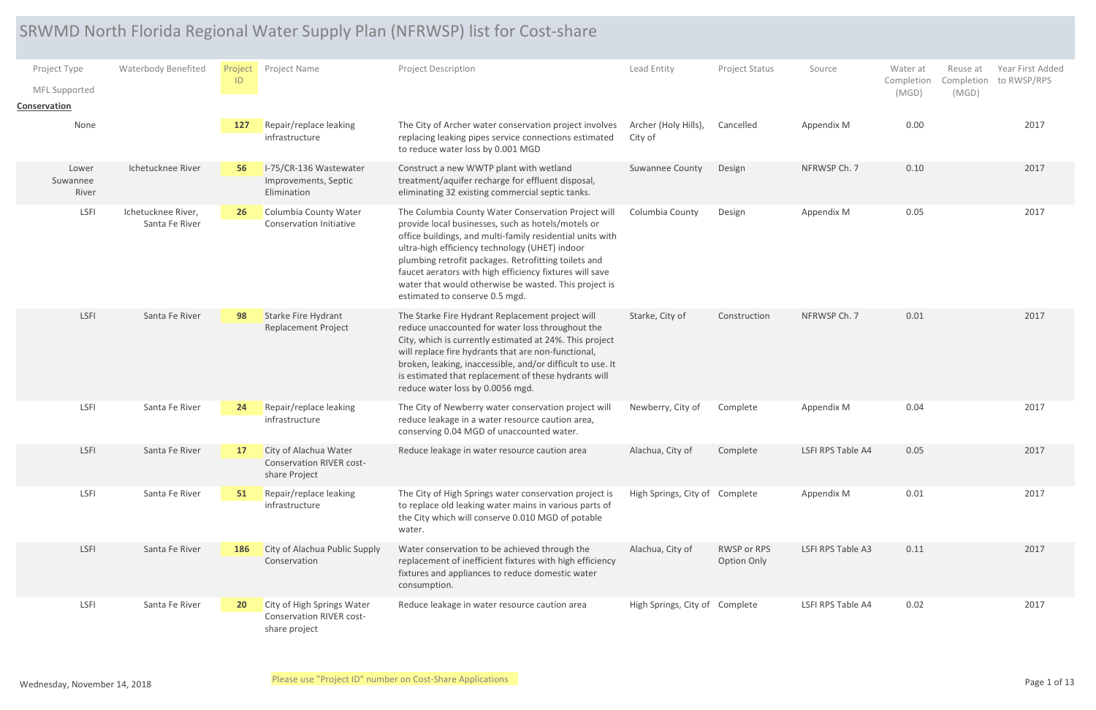## SRWMD North Florida Regional Water Supply Plan (NFRWSP) list for Cost-share

|                                               |                                      |                      |                                                                                | SRWMD North Florida Regional Water Supply Plan (NFRWSP) list for Cost-share                                                                                                                                                                                                                                                                                                                                                            |                                 |                            |                   |                                 |                                                                 |
|-----------------------------------------------|--------------------------------------|----------------------|--------------------------------------------------------------------------------|----------------------------------------------------------------------------------------------------------------------------------------------------------------------------------------------------------------------------------------------------------------------------------------------------------------------------------------------------------------------------------------------------------------------------------------|---------------------------------|----------------------------|-------------------|---------------------------------|-----------------------------------------------------------------|
| Project Type<br>MFL Supported<br>Conservation | <b>Waterbody Benefited</b>           | <b>Project</b><br>ID | Project Name                                                                   | <b>Project Description</b>                                                                                                                                                                                                                                                                                                                                                                                                             | Lead Entity                     | Project Status             | Source            | Water at<br>Completion<br>(MGD) | Year First Added<br>Reuse at<br>Completion to RWSP/RPS<br>(MGD) |
| None                                          |                                      | 127                  | Repair/replace leaking<br>infrastructure                                       | The City of Archer water conservation project involves<br>replacing leaking pipes service connections estimated<br>to reduce water loss by 0.001 MGD                                                                                                                                                                                                                                                                                   | Archer (Holy Hills),<br>City of | Cancelled                  | Appendix M        | 0.00                            | 2017                                                            |
| Lower<br>Suwannee<br>River                    | Ichetucknee River                    | 56                   | I-75/CR-136 Wastewater<br>Improvements, Septic<br>Elimination                  | Construct a new WWTP plant with wetland<br>treatment/aquifer recharge for effluent disposal,<br>eliminating 32 existing commercial septic tanks.                                                                                                                                                                                                                                                                                       | <b>Suwannee County</b>          | Design                     | NFRWSP Ch. 7      | 0.10                            | 2017                                                            |
| <b>LSFI</b>                                   | Ichetucknee River,<br>Santa Fe River | <b>26</b>            | Columbia County Water<br>Conservation Initiative                               | The Columbia County Water Conservation Project will<br>provide local businesses, such as hotels/motels or<br>office buildings, and multi-family residential units with<br>ultra-high efficiency technology (UHET) indoor<br>plumbing retrofit packages. Retrofitting toilets and<br>faucet aerators with high efficiency fixtures will save<br>water that would otherwise be wasted. This project is<br>estimated to conserve 0.5 mgd. | Columbia County                 | Design                     | Appendix M        | 0.05                            | 2017                                                            |
| LSFI                                          | Santa Fe River                       | 98                   | Starke Fire Hydrant<br><b>Replacement Project</b>                              | The Starke Fire Hydrant Replacement project will<br>reduce unaccounted for water loss throughout the<br>City, which is currently estimated at 24%. This project<br>will replace fire hydrants that are non-functional,<br>broken, leaking, inaccessible, and/or difficult to use. It<br>is estimated that replacement of these hydrants will<br>reduce water loss by 0.0056 mgd.                                                       | Starke, City of                 | Construction               | NFRWSP Ch. 7      | 0.01                            | 2017                                                            |
| LSFI                                          | Santa Fe River                       | 24                   | Repair/replace leaking<br>infrastructure                                       | The City of Newberry water conservation project will<br>reduce leakage in a water resource caution area,<br>conserving 0.04 MGD of unaccounted water.                                                                                                                                                                                                                                                                                  | Newberry, City of               | Complete                   | Appendix M        | 0.04                            | 2017                                                            |
| LSFI                                          | Santa Fe River                       | <b>17</b>            | City of Alachua Water<br><b>Conservation RIVER cost-</b><br>share Project      | Reduce leakage in water resource caution area                                                                                                                                                                                                                                                                                                                                                                                          | Alachua, City of                | Complete                   | LSFI RPS Table A4 | 0.05                            | 2017                                                            |
| LSFI                                          | Santa Fe River                       | 51                   | Repair/replace leaking<br>infrastructure                                       | The City of High Springs water conservation project is<br>to replace old leaking water mains in various parts of<br>the City which will conserve 0.010 MGD of potable<br>water.                                                                                                                                                                                                                                                        | High Springs, City of Complete  |                            | Appendix M        | 0.01                            | 2017                                                            |
| LSFI                                          | Santa Fe River                       | 186                  | City of Alachua Public Supply<br>Conservation                                  | Water conservation to be achieved through the<br>replacement of inefficient fixtures with high efficiency<br>fixtures and appliances to reduce domestic water<br>consumption.                                                                                                                                                                                                                                                          | Alachua, City of                | RWSP or RPS<br>Option Only | LSFI RPS Table A3 | 0.11                            | 2017                                                            |
| LSFI                                          | Santa Fe River                       | 20 <sub>2</sub>      | City of High Springs Water<br><b>Conservation RIVER cost-</b><br>share project | Reduce leakage in water resource caution area                                                                                                                                                                                                                                                                                                                                                                                          | High Springs, City of Complete  |                            | LSFI RPS Table A4 | 0.02                            | 2017                                                            |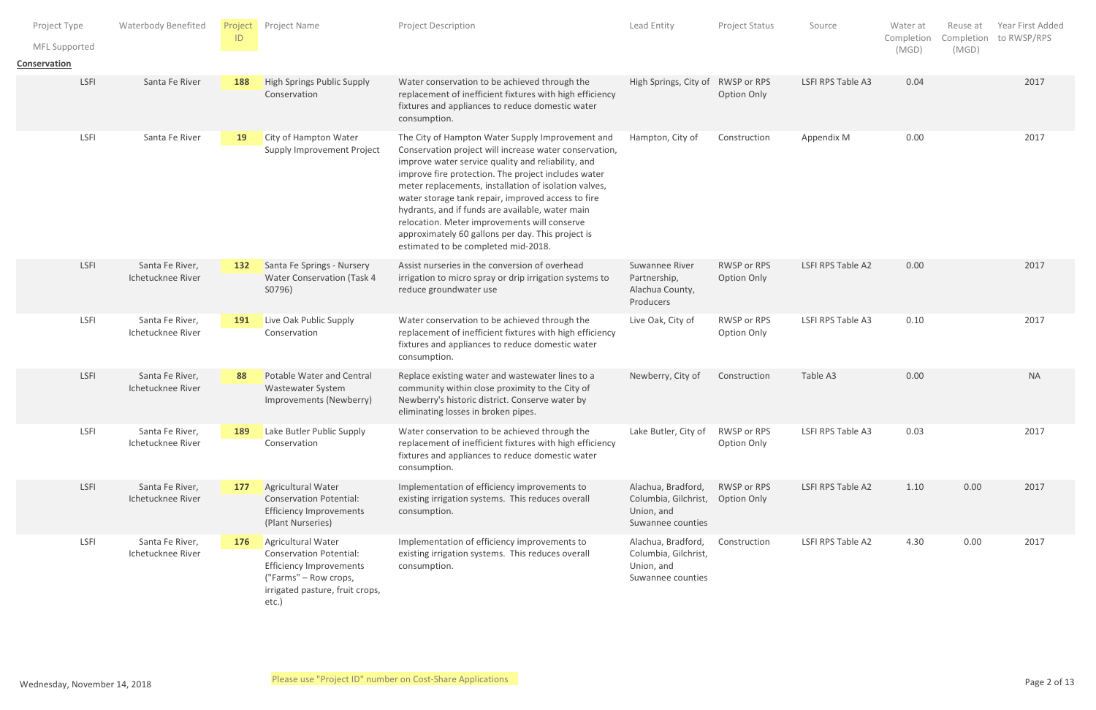| Project Type                  | <b>Waterbody Benefited</b>           | Project   | Project Name                                                                                                                                                | <b>Project Description</b>                                                                                                                                                                                                                                                                                                                                                                                                                                                                                                             | Lead Entity                                                                   | Project Status                    | Source            | Water at            | Reuse at | Year First Added       |
|-------------------------------|--------------------------------------|-----------|-------------------------------------------------------------------------------------------------------------------------------------------------------------|----------------------------------------------------------------------------------------------------------------------------------------------------------------------------------------------------------------------------------------------------------------------------------------------------------------------------------------------------------------------------------------------------------------------------------------------------------------------------------------------------------------------------------------|-------------------------------------------------------------------------------|-----------------------------------|-------------------|---------------------|----------|------------------------|
| MFL Supported<br>Conservation |                                      | ID        |                                                                                                                                                             |                                                                                                                                                                                                                                                                                                                                                                                                                                                                                                                                        |                                                                               |                                   |                   | Completion<br>(MGD) | (MGD)    | Completion to RWSP/RPS |
| LSFI                          | Santa Fe River                       | 188       | <b>High Springs Public Supply</b><br>Conservation                                                                                                           | Water conservation to be achieved through the<br>replacement of inefficient fixtures with high efficiency<br>fixtures and appliances to reduce domestic water<br>consumption.                                                                                                                                                                                                                                                                                                                                                          | High Springs, City of                                                         | RWSP or RPS<br><b>Option Only</b> | LSFI RPS Table A3 | 0.04                |          | 2017                   |
| LSFI                          | Santa Fe River                       | <b>19</b> | City of Hampton Water<br>Supply Improvement Project                                                                                                         | The City of Hampton Water Supply Improvement and<br>Conservation project will increase water conservation,<br>improve water service quality and reliability, and<br>improve fire protection. The project includes water<br>meter replacements, installation of isolation valves,<br>water storage tank repair, improved access to fire<br>hydrants, and if funds are available, water main<br>relocation. Meter improvements will conserve<br>approximately 60 gallons per day. This project is<br>estimated to be completed mid-2018. | Hampton, City of                                                              | Construction                      | Appendix M        | 0.00                |          | 2017                   |
| LSFI                          | Santa Fe River,<br>Ichetucknee River | 132       | Santa Fe Springs - Nursery<br><b>Water Conservation (Task 4</b><br>S0796)                                                                                   | Assist nurseries in the conversion of overhead<br>irrigation to micro spray or drip irrigation systems to<br>reduce groundwater use                                                                                                                                                                                                                                                                                                                                                                                                    | Suwannee River<br>Partnership,<br>Alachua County,<br>Producers                | RWSP or RPS<br><b>Option Only</b> | LSFI RPS Table A2 | 0.00                |          | 2017                   |
| LSFI                          | Santa Fe River,<br>Ichetucknee River | 191       | Live Oak Public Supply<br>Conservation                                                                                                                      | Water conservation to be achieved through the<br>replacement of inefficient fixtures with high efficiency<br>fixtures and appliances to reduce domestic water<br>consumption.                                                                                                                                                                                                                                                                                                                                                          | Live Oak, City of                                                             | RWSP or RPS<br>Option Only        | LSFI RPS Table A3 | 0.10                |          | 2017                   |
| LSFI                          | Santa Fe River,<br>Ichetucknee River | 88        | <b>Potable Water and Central</b><br><b>Wastewater System</b><br>Improvements (Newberry)                                                                     | Replace existing water and wastewater lines to a<br>community within close proximity to the City of<br>Newberry's historic district. Conserve water by<br>eliminating losses in broken pipes.                                                                                                                                                                                                                                                                                                                                          | Newberry, City of                                                             | Construction                      | Table A3          | 0.00                |          | <b>NA</b>              |
| LSFI                          | Santa Fe River,<br>Ichetucknee River | 189       | Lake Butler Public Supply<br>Conservation                                                                                                                   | Water conservation to be achieved through the<br>replacement of inefficient fixtures with high efficiency<br>fixtures and appliances to reduce domestic water<br>consumption.                                                                                                                                                                                                                                                                                                                                                          | Lake Butler, City of                                                          | RWSP or RPS<br>Option Only        | LSFI RPS Table A3 | 0.03                |          | 2017                   |
| LSFI                          | Santa Fe River,<br>Ichetucknee River | 177       | Agricultural Water<br><b>Conservation Potential:</b><br><b>Efficiency Improvements</b><br>(Plant Nurseries)                                                 | Implementation of efficiency improvements to<br>existing irrigation systems. This reduces overall<br>consumption.                                                                                                                                                                                                                                                                                                                                                                                                                      | Alachua, Bradford,<br>Columbia, Gilchrist,<br>Union, and<br>Suwannee counties | RWSP or RPS<br>Option Only        | LSFI RPS Table A2 | 1.10                | 0.00     | 2017                   |
| LSFI                          | Santa Fe River,<br>Ichetucknee River | 176       | Agricultural Water<br><b>Conservation Potential:</b><br><b>Efficiency Improvements</b><br>("Farms" – Row crops,<br>irrigated pasture, fruit crops,<br>etc.) | Implementation of efficiency improvements to<br>existing irrigation systems. This reduces overall<br>consumption.                                                                                                                                                                                                                                                                                                                                                                                                                      | Alachua, Bradford,<br>Columbia, Gilchrist,<br>Union, and<br>Suwannee counties | Construction                      | LSFI RPS Table A2 | 4.30                | 0.00     | 2017                   |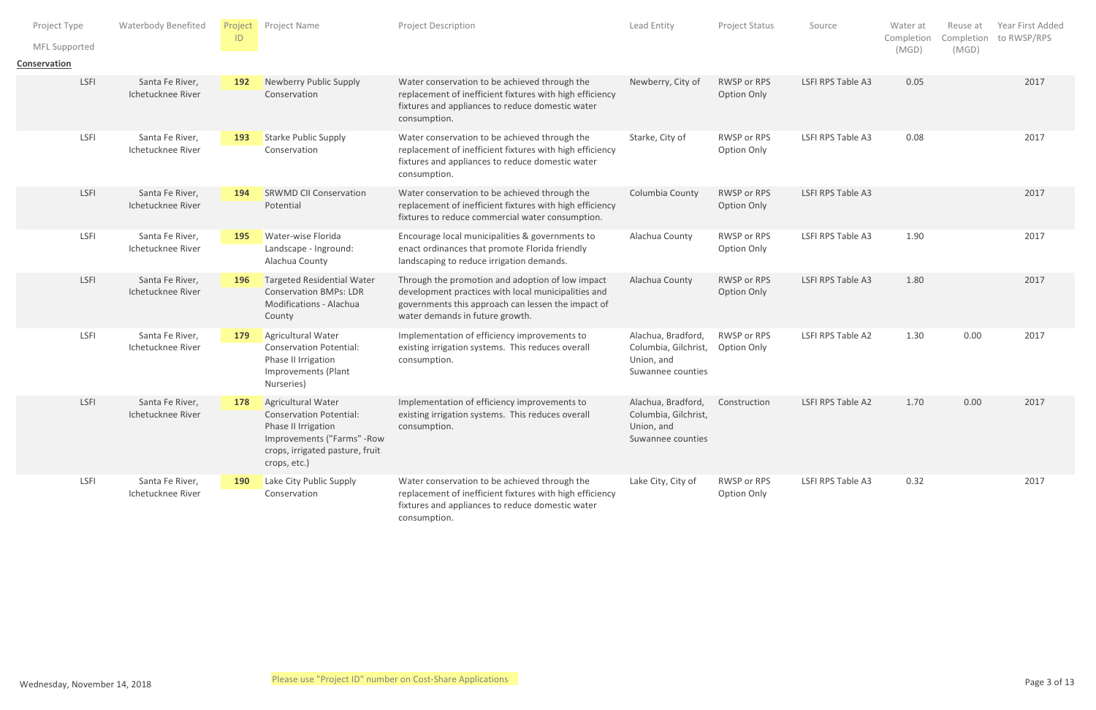| Project Type                  |             | <b>Waterbody Benefited</b>           | ID         | Project Project Name                                                                                                                                          | <b>Project Description</b>                                                                                                                                                                       | Lead Entity                                                                               | Project Status                    | Source            | Water at<br>Completion | Reuse at | Year First Added<br>Completion to RWSP/RPS |
|-------------------------------|-------------|--------------------------------------|------------|---------------------------------------------------------------------------------------------------------------------------------------------------------------|--------------------------------------------------------------------------------------------------------------------------------------------------------------------------------------------------|-------------------------------------------------------------------------------------------|-----------------------------------|-------------------|------------------------|----------|--------------------------------------------|
| MFL Supported<br>Conservation |             |                                      |            |                                                                                                                                                               |                                                                                                                                                                                                  |                                                                                           |                                   |                   | (MGD)                  | (MGD)    |                                            |
|                               | <b>LSFI</b> | Santa Fe River,<br>Ichetucknee River | <b>192</b> | Newberry Public Supply<br>Conservation                                                                                                                        | Water conservation to be achieved through the<br>replacement of inefficient fixtures with high efficiency<br>fixtures and appliances to reduce domestic water<br>consumption.                    | Newberry, City of                                                                         | RWSP or RPS<br><b>Option Only</b> | LSFI RPS Table A3 | 0.05                   |          | 2017                                       |
|                               | LSFI        | Santa Fe River,<br>Ichetucknee River | 193        | <b>Starke Public Supply</b><br>Conservation                                                                                                                   | Water conservation to be achieved through the<br>replacement of inefficient fixtures with high efficiency<br>fixtures and appliances to reduce domestic water<br>consumption.                    | Starke, City of                                                                           | RWSP or RPS<br>Option Only        | LSFI RPS Table A3 | 0.08                   |          | 2017                                       |
|                               | LSFI        | Santa Fe River,<br>Ichetucknee River | 194        | <b>SRWMD CII Conservation</b><br>Potential                                                                                                                    | Water conservation to be achieved through the<br>replacement of inefficient fixtures with high efficiency<br>fixtures to reduce commercial water consumption.                                    | Columbia County                                                                           | RWSP or RPS<br><b>Option Only</b> | LSFI RPS Table A3 |                        |          | 2017                                       |
|                               | LSFI        | Santa Fe River,<br>Ichetucknee River | 195        | <b>Water-wise Florida</b><br>Landscape - Inground:<br>Alachua County                                                                                          | Encourage local municipalities & governments to<br>enact ordinances that promote Florida friendly<br>landscaping to reduce irrigation demands.                                                   | Alachua County                                                                            | RWSP or RPS<br>Option Only        | LSFI RPS Table A3 | 1.90                   |          | 2017                                       |
|                               | LSFI        | Santa Fe River,<br>Ichetucknee River | <b>196</b> | <b>Targeted Residential Water</b><br><b>Conservation BMPs: LDR</b><br>Modifications - Alachua<br>County                                                       | Through the promotion and adoption of low impact<br>development practices with local municipalities and<br>governments this approach can lessen the impact of<br>water demands in future growth. | Alachua County                                                                            | RWSP or RPS<br><b>Option Only</b> | LSFI RPS Table A3 | 1.80                   |          | 2017                                       |
|                               | LSFI        | Santa Fe River,<br>Ichetucknee River | 179        | Agricultural Water<br><b>Conservation Potential:</b><br>Phase II Irrigation<br>Improvements (Plant<br>Nurseries)                                              | Implementation of efficiency improvements to<br>existing irrigation systems. This reduces overall<br>consumption.                                                                                | Alachua, Bradford,<br>Columbia, Gilchrist, Option Only<br>Union, and<br>Suwannee counties | RWSP or RPS                       | LSFI RPS Table A2 | 1.30                   | 0.00     | 2017                                       |
|                               | LSFI        | Santa Fe River,<br>Ichetucknee River | 178        | Agricultural Water<br><b>Conservation Potential:</b><br>Phase II Irrigation<br>Improvements ("Farms" - Row<br>crops, irrigated pasture, fruit<br>crops, etc.) | Implementation of efficiency improvements to<br>existing irrigation systems. This reduces overall<br>consumption.                                                                                | Alachua, Bradford,<br>Columbia, Gilchrist,<br>Union, and<br>Suwannee counties             | Construction                      | LSFI RPS Table A2 | 1.70                   | 0.00     | 2017                                       |
|                               | LSFI        | Santa Fe River,<br>Ichetucknee River | <b>190</b> | Lake City Public Supply<br>Conservation                                                                                                                       | Water conservation to be achieved through the<br>replacement of inefficient fixtures with high efficiency<br>fixtures and appliances to reduce domestic water<br>consumption.                    | Lake City, City of                                                                        | RWSP or RPS<br>Option Only        | LSFI RPS Table A3 | 0.32                   |          | 2017                                       |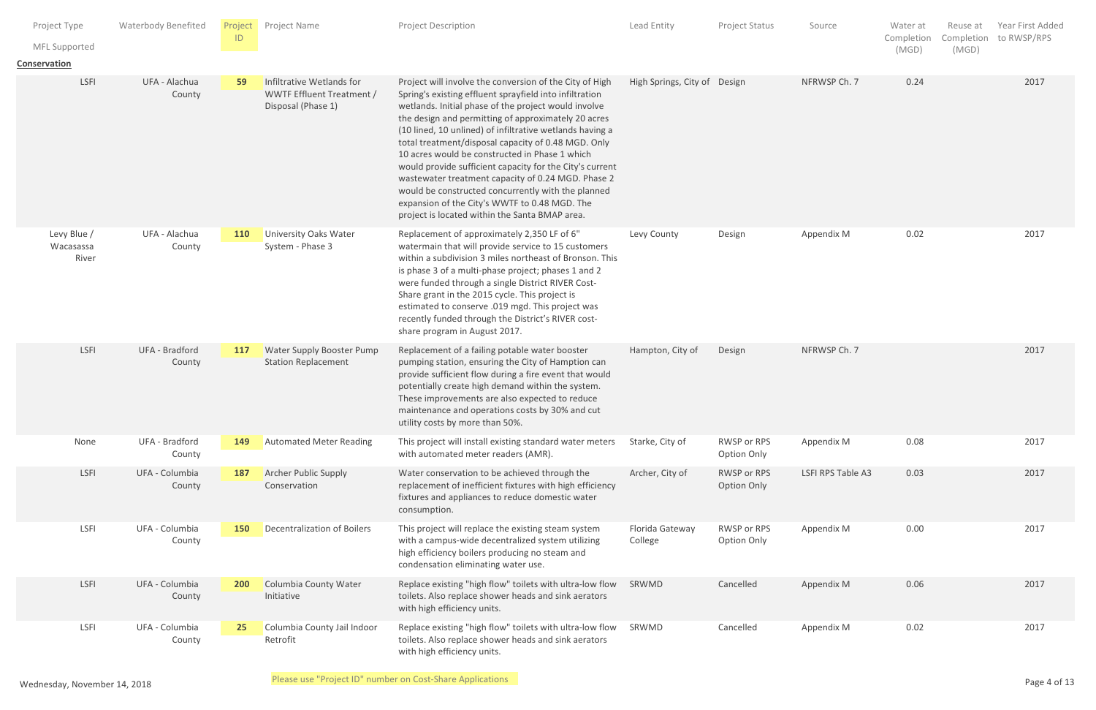| Project Type<br>MFL Supported<br>Conservation | <b>Waterbody Benefited</b> | Project<br>ID   | Project Name                                                                 | Project Description                                                                                                                                                                                                                                                                                                                                                                                                                                                                                                                                                                                                                                                               | Lead Entity                  | Project Status             | Source            | Water at<br>Completion<br>(MGD) | Reuse at<br>Completion<br>(MGD) | Year First Added<br>to RWSP/RPS |
|-----------------------------------------------|----------------------------|-----------------|------------------------------------------------------------------------------|-----------------------------------------------------------------------------------------------------------------------------------------------------------------------------------------------------------------------------------------------------------------------------------------------------------------------------------------------------------------------------------------------------------------------------------------------------------------------------------------------------------------------------------------------------------------------------------------------------------------------------------------------------------------------------------|------------------------------|----------------------------|-------------------|---------------------------------|---------------------------------|---------------------------------|
| LSFI                                          | UFA - Alachua<br>County    | 59              | Infiltrative Wetlands for<br>WWTF Effluent Treatment /<br>Disposal (Phase 1) | Project will involve the conversion of the City of High<br>Spring's existing effluent sprayfield into infiltration<br>wetlands. Initial phase of the project would involve<br>the design and permitting of approximately 20 acres<br>(10 lined, 10 unlined) of infiltrative wetlands having a<br>total treatment/disposal capacity of 0.48 MGD. Only<br>10 acres would be constructed in Phase 1 which<br>would provide sufficient capacity for the City's current<br>wastewater treatment capacity of 0.24 MGD. Phase 2<br>would be constructed concurrently with the planned<br>expansion of the City's WWTF to 0.48 MGD. The<br>project is located within the Santa BMAP area. | High Springs, City of Design |                            | NFRWSP Ch. 7      | 0.24                            |                                 | 2017                            |
| Levy Blue /<br>Wacasassa<br>River             | UFA - Alachua<br>County    | <b>110</b>      | <b>University Oaks Water</b><br>System - Phase 3                             | Replacement of approximately 2,350 LF of 6"<br>watermain that will provide service to 15 customers<br>within a subdivision 3 miles northeast of Bronson. This<br>is phase 3 of a multi-phase project; phases 1 and 2<br>were funded through a single District RIVER Cost-<br>Share grant in the 2015 cycle. This project is<br>estimated to conserve .019 mgd. This project was<br>recently funded through the District's RIVER cost-<br>share program in August 2017.                                                                                                                                                                                                            | Levy County                  | Design                     | Appendix M        | 0.02                            |                                 | 2017                            |
| LSFI                                          | UFA - Bradford<br>County   | 117             | <b>Water Supply Booster Pump</b><br><b>Station Replacement</b>               | Replacement of a failing potable water booster<br>pumping station, ensuring the City of Hamption can<br>provide sufficient flow during a fire event that would<br>potentially create high demand within the system.<br>These improvements are also expected to reduce<br>maintenance and operations costs by 30% and cut<br>utility costs by more than 50%.                                                                                                                                                                                                                                                                                                                       | Hampton, City of             | Design                     | NFRWSP Ch. 7      |                                 |                                 | 2017                            |
| None                                          | UFA - Bradford<br>County   | 149             | <b>Automated Meter Reading</b>                                               | This project will install existing standard water meters<br>with automated meter readers (AMR).                                                                                                                                                                                                                                                                                                                                                                                                                                                                                                                                                                                   | Starke, City of              | RWSP or RPS<br>Option Only | Appendix M        | 0.08                            |                                 | 2017                            |
| LSFI                                          | UFA - Columbia<br>County   | <b>187</b>      | <b>Archer Public Supply</b><br>Conservation                                  | Water conservation to be achieved through the<br>replacement of inefficient fixtures with high efficiency<br>fixtures and appliances to reduce domestic water<br>consumption.                                                                                                                                                                                                                                                                                                                                                                                                                                                                                                     | Archer, City of              | RWSP or RPS<br>Option Only | LSFI RPS Table A3 | 0.03                            |                                 | 2017                            |
| LSFI                                          | UFA - Columbia<br>County   | 150             | Decentralization of Boilers                                                  | This project will replace the existing steam system<br>with a campus-wide decentralized system utilizing<br>high efficiency boilers producing no steam and<br>condensation eliminating water use.                                                                                                                                                                                                                                                                                                                                                                                                                                                                                 | Florida Gateway<br>College   | RWSP or RPS<br>Option Only | Appendix M        | 0.00                            |                                 | 2017                            |
| LSFI                                          | UFA - Columbia<br>County   | 200             | <b>Columbia County Water</b><br>Initiative                                   | Replace existing "high flow" toilets with ultra-low flow<br>toilets. Also replace shower heads and sink aerators<br>with high efficiency units.                                                                                                                                                                                                                                                                                                                                                                                                                                                                                                                                   | SRWMD                        | Cancelled                  | Appendix M        | 0.06                            |                                 | 2017                            |
| <b>LSFI</b>                                   | UFA - Columbia<br>County   | 25 <sub>2</sub> | Columbia County Jail Indoor<br>Retrofit                                      | Replace existing "high flow" toilets with ultra-low flow<br>toilets. Also replace shower heads and sink aerators<br>with high efficiency units.                                                                                                                                                                                                                                                                                                                                                                                                                                                                                                                                   | SRWMD                        | Cancelled                  | Appendix M        | 0.02                            |                                 | 2017                            |
| Wednesday, November 14, 2018                  |                            |                 |                                                                              | Please use "Project ID" number on Cost-Share Applications                                                                                                                                                                                                                                                                                                                                                                                                                                                                                                                                                                                                                         |                              |                            |                   |                                 |                                 | Page 4 of 13                    |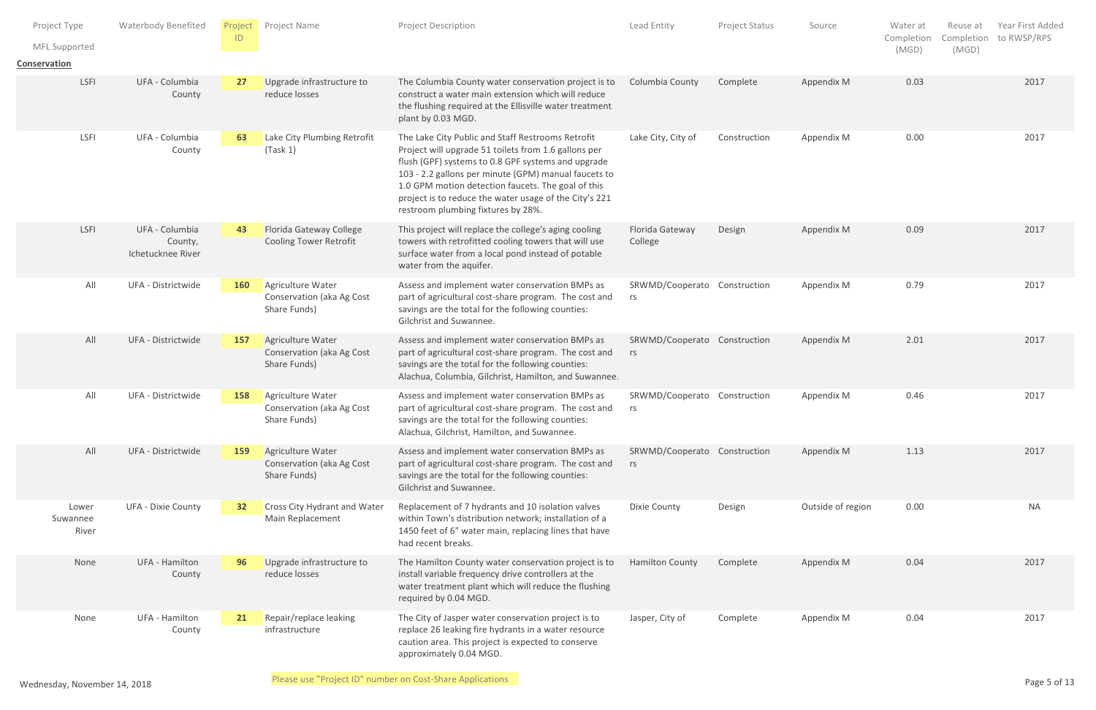| Project Type<br>MFL Supported<br>Conservation | <b>Waterbody Benefited</b>                     | ID              | Project Project Name                                                  | Project Description                                                                                                                                                                                                                                                                                                                                                           | Lead Entity                        | Project Status | Source            | Water at<br>Completion<br>(MGD) | Reuse at<br>Completion to RWSP/RPS<br>(MGD) | Year First Added |
|-----------------------------------------------|------------------------------------------------|-----------------|-----------------------------------------------------------------------|-------------------------------------------------------------------------------------------------------------------------------------------------------------------------------------------------------------------------------------------------------------------------------------------------------------------------------------------------------------------------------|------------------------------------|----------------|-------------------|---------------------------------|---------------------------------------------|------------------|
| LSFI                                          | UFA - Columbia<br>County                       | 27              | Upgrade infrastructure to<br>reduce losses                            | The Columbia County water conservation project is to<br>construct a water main extension which will reduce<br>the flushing required at the Ellisville water treatment<br>plant by 0.03 MGD.                                                                                                                                                                                   | Columbia County                    | Complete       | Appendix M        | 0.03                            |                                             | 2017             |
| LSFI                                          | UFA - Columbia<br>County                       | 63              | Lake City Plumbing Retrofit<br>(Task 1)                               | The Lake City Public and Staff Restrooms Retrofit<br>Project will upgrade 51 toilets from 1.6 gallons per<br>flush (GPF) systems to 0.8 GPF systems and upgrade<br>103 - 2.2 gallons per minute (GPM) manual faucets to<br>1.0 GPM motion detection faucets. The goal of this<br>project is to reduce the water usage of the City's 221<br>restroom plumbing fixtures by 28%. | Lake City, City of                 | Construction   | Appendix M        | 0.00                            |                                             | 2017             |
| LSFI                                          | UFA - Columbia<br>County,<br>Ichetucknee River | 43              | <b>Florida Gateway College</b><br><b>Cooling Tower Retrofit</b>       | This project will replace the college's aging cooling<br>towers with retrofitted cooling towers that will use<br>surface water from a local pond instead of potable<br>water from the aquifer.                                                                                                                                                                                | Florida Gateway<br>College         | Design         | Appendix M        | 0.09                            |                                             | 2017             |
| All                                           | UFA - Districtwide                             | 160             | Agriculture Water<br>Conservation (aka Ag Cost<br>Share Funds)        | Assess and implement water conservation BMPs as<br>part of agricultural cost-share program. The cost and<br>savings are the total for the following counties:<br>Gilchrist and Suwannee.                                                                                                                                                                                      | SRWMD/Cooperato Construction<br>rs |                | Appendix M        | 0.79                            |                                             | 2017             |
| All                                           | UFA - Districtwide                             | 157             | Agriculture Water<br><b>Conservation (aka Ag Cost</b><br>Share Funds) | Assess and implement water conservation BMPs as<br>part of agricultural cost-share program. The cost and<br>savings are the total for the following counties:<br>Alachua, Columbia, Gilchrist, Hamilton, and Suwannee.                                                                                                                                                        | SRWMD/Cooperato Construction<br>rs |                | Appendix M        | 2.01                            |                                             | 2017             |
| All                                           | UFA - Districtwide                             | 158             | Agriculture Water<br>Conservation (aka Ag Cost<br>Share Funds)        | Assess and implement water conservation BMPs as<br>part of agricultural cost-share program. The cost and<br>savings are the total for the following counties:<br>Alachua, Gilchrist, Hamilton, and Suwannee.                                                                                                                                                                  | SRWMD/Cooperato Construction<br>rs |                | Appendix M        | 0.46                            |                                             | 2017             |
| All                                           | UFA - Districtwide                             | 159             | Agriculture Water<br>Conservation (aka Ag Cost<br>Share Funds)        | Assess and implement water conservation BMPs as<br>part of agricultural cost-share program. The cost and<br>savings are the total for the following counties:<br>Gilchrist and Suwannee.                                                                                                                                                                                      | SRWMD/Cooperato Construction<br>rs |                | Appendix M        | 1.13                            |                                             | 2017             |
| Lower<br>Suwannee<br>River                    | <b>UFA - Dixie County</b>                      | 32 <sub>2</sub> | <b>Cross City Hydrant and Water</b><br>Main Replacement               | Replacement of 7 hydrants and 10 isolation valves<br>within Town's distribution network; installation of a<br>1450 feet of 6" water main, replacing lines that have<br>had recent breaks.                                                                                                                                                                                     | Dixie County                       | Design         | Outside of region | 0.00                            |                                             | <b>NA</b>        |
| None                                          | UFA - Hamilton<br>County                       | 96              | Upgrade infrastructure to<br>reduce losses                            | The Hamilton County water conservation project is to<br>install variable frequency drive controllers at the<br>water treatment plant which will reduce the flushing<br>required by 0.04 MGD.                                                                                                                                                                                  | Hamilton County                    | Complete       | Appendix M        | 0.04                            |                                             | 2017             |
| None                                          | UFA - Hamilton<br>County                       | 21              | Repair/replace leaking<br>infrastructure                              | The City of Jasper water conservation project is to<br>replace 26 leaking fire hydrants in a water resource<br>caution area. This project is expected to conserve<br>approximately 0.04 MGD.                                                                                                                                                                                  | Jasper, City of                    | Complete       | Appendix M        | 0.04                            |                                             | 2017             |
| Wednesday November 14, 2018                   |                                                |                 | Please use "Project ID" number on Cost-Share Applications             |                                                                                                                                                                                                                                                                                                                                                                               |                                    |                |                   |                                 |                                             | Page 5 of 13     |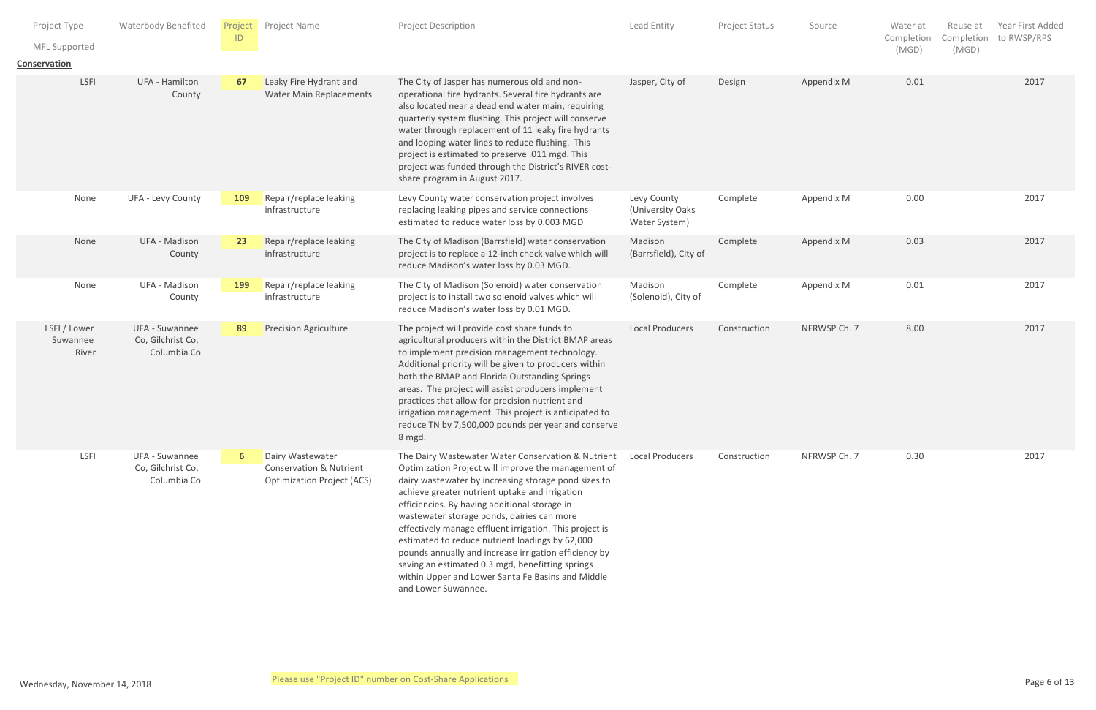| Project Type<br>MFL Supported<br>Conservation | <b>Waterbody Benefited</b>                         | D          | Project Project Name                                                                        | Project Description                                                                                                                                                                                                                                                                                                                                                                                                                                                                                                                                                                                                       | Lead Entity                                      | Project Status | Source       | Water at<br>Reuse at<br>Completion<br>Completion<br>(MGD)<br>(MGD) | Year First Added<br>to RWSP/RPS |
|-----------------------------------------------|----------------------------------------------------|------------|---------------------------------------------------------------------------------------------|---------------------------------------------------------------------------------------------------------------------------------------------------------------------------------------------------------------------------------------------------------------------------------------------------------------------------------------------------------------------------------------------------------------------------------------------------------------------------------------------------------------------------------------------------------------------------------------------------------------------------|--------------------------------------------------|----------------|--------------|--------------------------------------------------------------------|---------------------------------|
| LSFI                                          | UFA - Hamilton<br>County                           | 67         | Leaky Fire Hydrant and<br>Water Main Replacements                                           | The City of Jasper has numerous old and non-<br>operational fire hydrants. Several fire hydrants are<br>also located near a dead end water main, requiring<br>quarterly system flushing. This project will conserve<br>water through replacement of 11 leaky fire hydrants<br>and looping water lines to reduce flushing. This<br>project is estimated to preserve .011 mgd. This<br>project was funded through the District's RIVER cost-<br>share program in August 2017.                                                                                                                                               | Jasper, City of                                  | Design         | Appendix M   | 0.01                                                               | 2017                            |
| None                                          | UFA - Levy County                                  | <b>109</b> | Repair/replace leaking<br>infrastructure                                                    | Levy County water conservation project involves<br>replacing leaking pipes and service connections<br>estimated to reduce water loss by 0.003 MGD                                                                                                                                                                                                                                                                                                                                                                                                                                                                         | Levy County<br>(University Oaks<br>Water System) | Complete       | Appendix M   | 0.00                                                               | 2017                            |
| None                                          | UFA - Madison<br>County                            | 23         | Repair/replace leaking<br>infrastructure                                                    | The City of Madison (Barrsfield) water conservation<br>project is to replace a 12-inch check valve which will<br>reduce Madison's water loss by 0.03 MGD.                                                                                                                                                                                                                                                                                                                                                                                                                                                                 | Madison<br>(Barrsfield), City of                 | Complete       | Appendix M   | 0.03                                                               | 2017                            |
| None                                          | UFA - Madison<br>County                            | <b>199</b> | Repair/replace leaking<br>infrastructure                                                    | The City of Madison (Solenoid) water conservation<br>project is to install two solenoid valves which will<br>reduce Madison's water loss by 0.01 MGD.                                                                                                                                                                                                                                                                                                                                                                                                                                                                     | Madison<br>(Solenoid), City of                   | Complete       | Appendix M   | 0.01                                                               | 2017                            |
| LSFI / Lower<br>Suwannee<br>River             | UFA - Suwannee<br>Co, Gilchrist Co,<br>Columbia Co | 89         | <b>Precision Agriculture</b>                                                                | The project will provide cost share funds to<br>agricultural producers within the District BMAP areas<br>to implement precision management technology.<br>Additional priority will be given to producers within<br>both the BMAP and Florida Outstanding Springs<br>areas. The project will assist producers implement<br>practices that allow for precision nutrient and<br>irrigation management. This project is anticipated to<br>reduce TN by 7,500,000 pounds per year and conserve<br>8 mgd.                                                                                                                       | <b>Local Producers</b>                           | Construction   | NFRWSP Ch. 7 | 8.00                                                               | 2017                            |
| LSFI                                          | UFA - Suwannee<br>Co, Gilchrist Co,<br>Columbia Co |            | Dairy Wastewater<br><b>Conservation &amp; Nutrient</b><br><b>Optimization Project (ACS)</b> | The Dairy Wastewater Water Conservation & Nutrient<br>Optimization Project will improve the management of<br>dairy wastewater by increasing storage pond sizes to<br>achieve greater nutrient uptake and irrigation<br>efficiencies. By having additional storage in<br>wastewater storage ponds, dairies can more<br>effectively manage effluent irrigation. This project is<br>estimated to reduce nutrient loadings by 62,000<br>pounds annually and increase irrigation efficiency by<br>saving an estimated 0.3 mgd, benefitting springs<br>within Upper and Lower Santa Fe Basins and Middle<br>and Lower Suwannee. | <b>Local Producers</b>                           | Construction   | NFRWSP Ch. 7 | 0.30                                                               | 2017                            |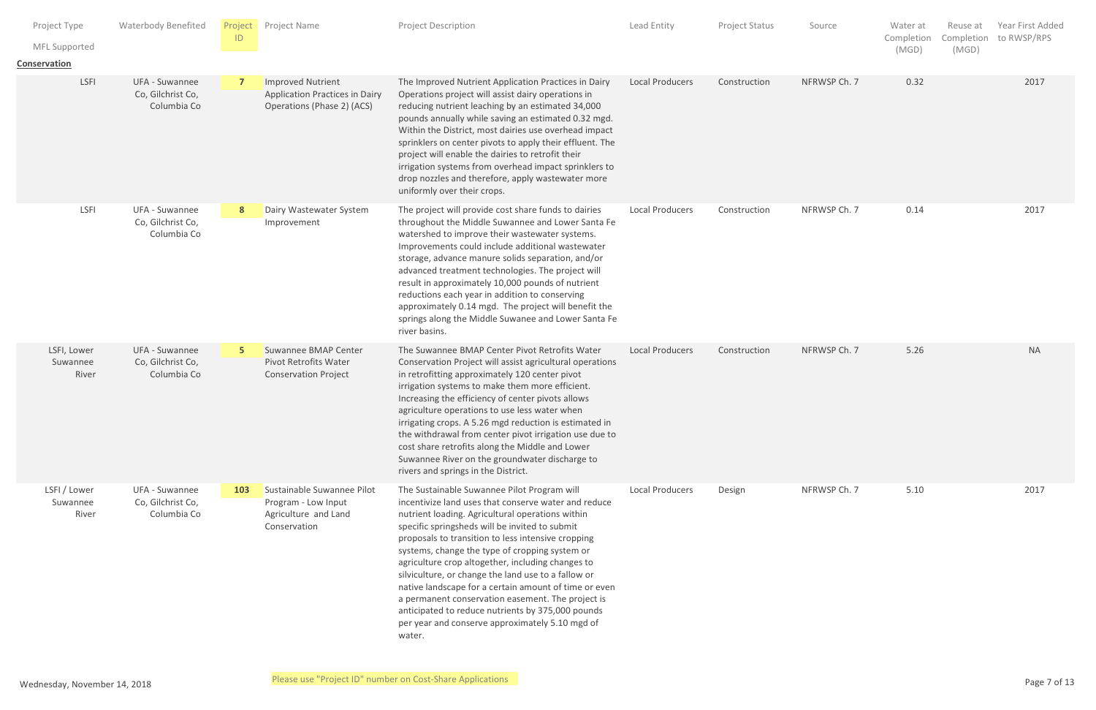| Project Type<br>MFL Supported<br><b>Conservation</b> | <b>Waterbody Benefited</b>                         | ID  | Project Project Name                                                                      | Project Description                                                                                                                                                                                                                                                                                                                                                                                                                                                                                                                                                                                                                                           | Lead Entity            | Project Status | Source       | Water at<br>Completion<br>(MGD) | Reuse at<br>Completion to RWSP/RPS<br>(MGD) | Year First Added |
|------------------------------------------------------|----------------------------------------------------|-----|-------------------------------------------------------------------------------------------|---------------------------------------------------------------------------------------------------------------------------------------------------------------------------------------------------------------------------------------------------------------------------------------------------------------------------------------------------------------------------------------------------------------------------------------------------------------------------------------------------------------------------------------------------------------------------------------------------------------------------------------------------------------|------------------------|----------------|--------------|---------------------------------|---------------------------------------------|------------------|
| LSFI                                                 | UFA - Suwannee<br>Co, Gilchrist Co,<br>Columbia Co |     | Improved Nutrient<br><b>Application Practices in Dairy</b><br>Operations (Phase 2) (ACS)  | The Improved Nutrient Application Practices in Dairy<br>Operations project will assist dairy operations in<br>reducing nutrient leaching by an estimated 34,000<br>pounds annually while saving an estimated 0.32 mgd.<br>Within the District, most dairies use overhead impact<br>sprinklers on center pivots to apply their effluent. The<br>project will enable the dairies to retrofit their<br>irrigation systems from overhead impact sprinklers to<br>drop nozzles and therefore, apply wastewater more<br>uniformly over their crops.                                                                                                                 | <b>Local Producers</b> | Construction   | NFRWSP Ch. 7 | 0.32                            |                                             | 2017             |
| LSFI                                                 | UFA - Suwannee<br>Co, Gilchrist Co,<br>Columbia Co |     | Dairy Wastewater System<br>Improvement                                                    | The project will provide cost share funds to dairies<br>throughout the Middle Suwannee and Lower Santa Fe<br>watershed to improve their wastewater systems.<br>Improvements could include additional wastewater<br>storage, advance manure solids separation, and/or<br>advanced treatment technologies. The project will<br>result in approximately 10,000 pounds of nutrient<br>reductions each year in addition to conserving<br>approximately 0.14 mgd. The project will benefit the<br>springs along the Middle Suwanee and Lower Santa Fe<br>river basins.                                                                                              | <b>Local Producers</b> | Construction   | NFRWSP Ch. 7 | 0.14                            |                                             | 2017             |
| LSFI, Lower<br>Suwannee<br>River                     | UFA - Suwannee<br>Co, Gilchrist Co,<br>Columbia Co |     | Suwannee BMAP Center<br><b>Pivot Retrofits Water</b><br><b>Conservation Project</b>       | The Suwannee BMAP Center Pivot Retrofits Water<br>Conservation Project will assist agricultural operations<br>in retrofitting approximately 120 center pivot<br>irrigation systems to make them more efficient.<br>Increasing the efficiency of center pivots allows<br>agriculture operations to use less water when<br>irrigating crops. A 5.26 mgd reduction is estimated in<br>the withdrawal from center pivot irrigation use due to<br>cost share retrofits along the Middle and Lower<br>Suwannee River on the groundwater discharge to<br>rivers and springs in the District.                                                                         | <b>Local Producers</b> | Construction   | NFRWSP Ch. 7 | 5.26                            |                                             | $\sf NA$         |
| LSFI / Lower<br>Suwannee<br>River                    | UFA - Suwannee<br>Co, Gilchrist Co,<br>Columbia Co | 103 | Sustainable Suwannee Pilot<br>Program - Low Input<br>Agriculture and Land<br>Conservation | The Sustainable Suwannee Pilot Program will<br>incentivize land uses that conserve water and reduce<br>nutrient loading. Agricultural operations within<br>specific springsheds will be invited to submit<br>proposals to transition to less intensive cropping<br>systems, change the type of cropping system or<br>agriculture crop altogether, including changes to<br>silviculture, or change the land use to a fallow or<br>native landscape for a certain amount of time or even<br>a permanent conservation easement. The project is<br>anticipated to reduce nutrients by 375,000 pounds<br>per year and conserve approximately 5.10 mgd of<br>water. | <b>Local Producers</b> | Design         | NFRWSP Ch. 7 | 5.10                            |                                             | 2017             |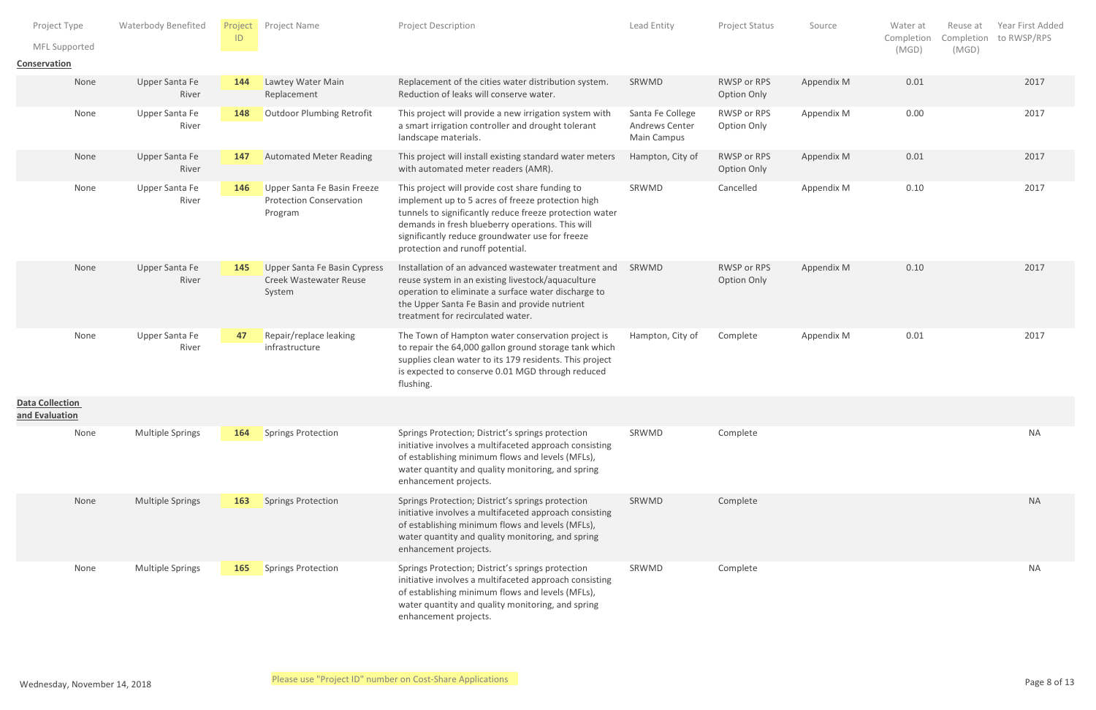| Project Type<br>Conservation             | MFL Supported | <b>Waterbody Benefited</b> | Project<br> D | Project Name                                                             | Project Description                                                                                                                                                                                                                                                                                        | Lead Entity                                       | Project Status                    | Source     | Water at<br>Completion<br>(MGD) | Reuse at<br>Completion<br>(MGD) | Year First Added<br>to RWSP/RPS |
|------------------------------------------|---------------|----------------------------|---------------|--------------------------------------------------------------------------|------------------------------------------------------------------------------------------------------------------------------------------------------------------------------------------------------------------------------------------------------------------------------------------------------------|---------------------------------------------------|-----------------------------------|------------|---------------------------------|---------------------------------|---------------------------------|
|                                          | None          | Upper Santa Fe<br>River    | 144           | Lawtey Water Main<br>Replacement                                         | Replacement of the cities water distribution system.<br>Reduction of leaks will conserve water.                                                                                                                                                                                                            | SRWMD                                             | RWSP or RPS<br>Option Only        | Appendix M | 0.01                            |                                 | 2017                            |
|                                          | None          | Upper Santa Fe<br>River    | 148           | <b>Outdoor Plumbing Retrofit</b>                                         | This project will provide a new irrigation system with<br>a smart irrigation controller and drought tolerant<br>landscape materials.                                                                                                                                                                       | Santa Fe College<br>Andrews Center<br>Main Campus | RWSP or RPS<br>Option Only        | Appendix M | 0.00                            |                                 | 2017                            |
|                                          | None          | Upper Santa Fe<br>River    | 147           | <b>Automated Meter Reading</b>                                           | This project will install existing standard water meters<br>with automated meter readers (AMR).                                                                                                                                                                                                            | Hampton, City of                                  | RWSP or RPS<br>Option Only        | Appendix M | 0.01                            |                                 | 2017                            |
|                                          | None          | Upper Santa Fe<br>River    | 146           | Upper Santa Fe Basin Freeze<br><b>Protection Conservation</b><br>Program | This project will provide cost share funding to<br>implement up to 5 acres of freeze protection high<br>tunnels to significantly reduce freeze protection water<br>demands in fresh blueberry operations. This will<br>significantly reduce groundwater use for freeze<br>protection and runoff potential. | SRWMD                                             | Cancelled                         | Appendix M | 0.10                            |                                 | 2017                            |
|                                          | None          | Upper Santa Fe<br>River    | 145           | Upper Santa Fe Basin Cypress<br>Creek Wastewater Reuse<br>System         | Installation of an advanced wastewater treatment and<br>reuse system in an existing livestock/aquaculture<br>operation to eliminate a surface water discharge to<br>the Upper Santa Fe Basin and provide nutrient<br>treatment for recirculated water.                                                     | SRWMD                                             | RWSP or RPS<br><b>Option Only</b> | Appendix M | 0.10                            |                                 | 2017                            |
|                                          | None          | Upper Santa Fe<br>River    | 47            | Repair/replace leaking<br>infrastructure                                 | The Town of Hampton water conservation project is<br>to repair the 64,000 gallon ground storage tank which<br>supplies clean water to its 179 residents. This project<br>is expected to conserve 0.01 MGD through reduced<br>flushing.                                                                     | Hampton, City of                                  | Complete                          | Appendix M | 0.01                            |                                 | 2017                            |
| <b>Data Collection</b><br>and Evaluation |               |                            |               |                                                                          |                                                                                                                                                                                                                                                                                                            |                                                   |                                   |            |                                 |                                 |                                 |
|                                          | None          | Multiple Springs           | 164           | Springs Protection                                                       | Springs Protection; District's springs protection<br>initiative involves a multifaceted approach consisting<br>of establishing minimum flows and levels (MFLs),<br>water quantity and quality monitoring, and spring<br>enhancement projects.                                                              | SRWMD                                             | Complete                          |            |                                 |                                 | <b>NA</b>                       |
|                                          | None          | Multiple Springs           | 163           | Springs Protection                                                       | Springs Protection; District's springs protection<br>initiative involves a multifaceted approach consisting<br>of establishing minimum flows and levels (MFLs),<br>water quantity and quality monitoring, and spring<br>enhancement projects.                                                              | SRWMD                                             | Complete                          |            |                                 |                                 | <b>NA</b>                       |
|                                          | None          | Multiple Springs           |               | 165 Springs Protection                                                   | Springs Protection; District's springs protection<br>initiative involves a multifaceted approach consisting<br>of establishing minimum flows and levels (MFLs),<br>water quantity and quality monitoring, and spring<br>enhancement projects.                                                              | SRWMD                                             | Complete                          |            |                                 |                                 | <b>NA</b>                       |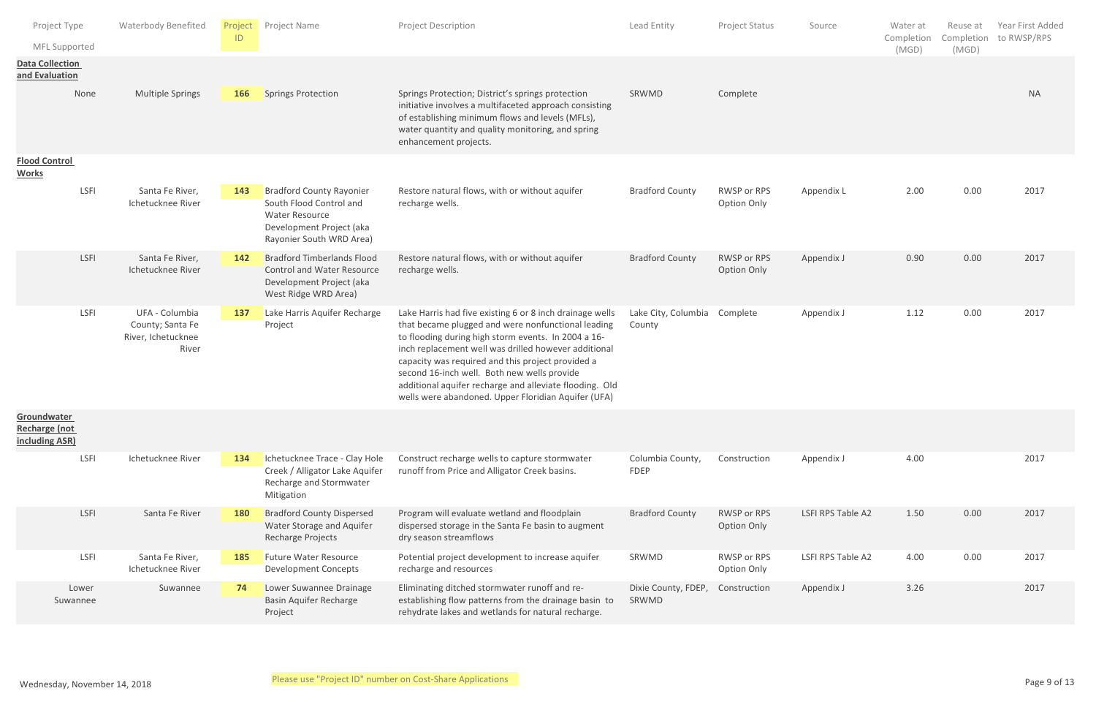| Project Type<br>MFL Supported                         |                   | <b>Waterbody Benefited</b>                                        | Project<br>ID | Project Name                                                                                                                                | <b>Project Description</b>                                                                                                                                                                                                                                                                                                                                                                                                                          | Lead Entity                   | Project Status             | Source            | Water at<br>Completion | Reuse at<br>Completion | Year First Added<br>to RWSP/RPS |
|-------------------------------------------------------|-------------------|-------------------------------------------------------------------|---------------|---------------------------------------------------------------------------------------------------------------------------------------------|-----------------------------------------------------------------------------------------------------------------------------------------------------------------------------------------------------------------------------------------------------------------------------------------------------------------------------------------------------------------------------------------------------------------------------------------------------|-------------------------------|----------------------------|-------------------|------------------------|------------------------|---------------------------------|
| <b>Data Collection</b><br>and Evaluation              |                   |                                                                   |               |                                                                                                                                             |                                                                                                                                                                                                                                                                                                                                                                                                                                                     |                               |                            |                   | (MGD)                  | (MGD)                  |                                 |
|                                                       | None              | <b>Multiple Springs</b>                                           | 166           | <b>Springs Protection</b>                                                                                                                   | Springs Protection; District's springs protection<br>initiative involves a multifaceted approach consisting<br>of establishing minimum flows and levels (MFLs),<br>water quantity and quality monitoring, and spring<br>enhancement projects.                                                                                                                                                                                                       | SRWMD                         | Complete                   |                   |                        |                        | <b>NA</b>                       |
| <b>Flood Control</b><br><b>Works</b>                  |                   |                                                                   |               |                                                                                                                                             |                                                                                                                                                                                                                                                                                                                                                                                                                                                     |                               |                            |                   |                        |                        |                                 |
|                                                       | LSFI              | Santa Fe River,<br>Ichetucknee River                              | 143           | <b>Bradford County Rayonier</b><br>South Flood Control and<br><b>Water Resource</b><br>Development Project (aka<br>Rayonier South WRD Area) | Restore natural flows, with or without aquifer<br>recharge wells.                                                                                                                                                                                                                                                                                                                                                                                   | <b>Bradford County</b>        | RWSP or RPS<br>Option Only | Appendix L        | 2.00                   | 0.00                   | 2017                            |
|                                                       | LSFI              | Santa Fe River,<br>Ichetucknee River                              | 142           | <b>Bradford Timberlands Flood</b><br><b>Control and Water Resource</b><br>Development Project (aka<br>West Ridge WRD Area)                  | Restore natural flows, with or without aquifer<br>recharge wells.                                                                                                                                                                                                                                                                                                                                                                                   | <b>Bradford County</b>        | RWSP or RPS<br>Option Only | Appendix J        | 0.90                   | 0.00                   | 2017                            |
|                                                       | LSFI              | UFA - Columbia<br>County; Santa Fe<br>River, Ichetucknee<br>River | 137           | Lake Harris Aquifer Recharge<br>Project                                                                                                     | Lake Harris had five existing 6 or 8 inch drainage wells<br>that became plugged and were nonfunctional leading<br>to flooding during high storm events. In 2004 a 16-<br>inch replacement well was drilled however additional<br>capacity was required and this project provided a<br>second 16-inch well. Both new wells provide<br>additional aquifer recharge and alleviate flooding. Old<br>wells were abandoned. Upper Floridian Aquifer (UFA) | Lake City, Columbia<br>County | Complete                   | Appendix J        | 1.12                   | 0.00                   | 2017                            |
| Groundwater<br><b>Recharge (not</b><br>including ASR) |                   |                                                                   |               |                                                                                                                                             |                                                                                                                                                                                                                                                                                                                                                                                                                                                     |                               |                            |                   |                        |                        |                                 |
|                                                       | LSFI              | Ichetucknee River                                                 | 134           | Ichetucknee Trace - Clay Hole<br>Creek / Alligator Lake Aquifer<br>Recharge and Stormwater<br>Mitigation                                    | Construct recharge wells to capture stormwater<br>runoff from Price and Alligator Creek basins.                                                                                                                                                                                                                                                                                                                                                     | Columbia County,<br>FDEP      | Construction               | Appendix J        | 4.00                   |                        | 2017                            |
|                                                       | LSFI              | Santa Fe River                                                    | <b>180</b>    | <b>Bradford County Dispersed</b><br>Water Storage and Aquifer<br>Recharge Projects                                                          | Program will evaluate wetland and floodplain<br>dispersed storage in the Santa Fe basin to augment<br>dry season streamflows                                                                                                                                                                                                                                                                                                                        | <b>Bradford County</b>        | RWSP or RPS<br>Option Only | LSFI RPS Table A2 | 1.50                   | 0.00                   | 2017                            |
|                                                       | LSFI              | Santa Fe River,<br>Ichetucknee River                              | 185           | <b>Future Water Resource</b><br><b>Development Concepts</b>                                                                                 | Potential project development to increase aquifer<br>recharge and resources                                                                                                                                                                                                                                                                                                                                                                         | SRWMD                         | RWSP or RPS<br>Option Only | LSFI RPS Table A2 | 4.00                   | 0.00                   | 2017                            |
|                                                       | Lower<br>Suwannee | Suwannee                                                          |               | Lower Suwannee Drainage<br><b>Basin Aquifer Recharge</b><br>Project                                                                         | Eliminating ditched stormwater runoff and re-<br>establishing flow patterns from the drainage basin to<br>rehydrate lakes and wetlands for natural recharge.                                                                                                                                                                                                                                                                                        | Dixie County, FDEP,<br>SRWMD  | Construction               | Appendix J        | 3.26                   |                        | 2017                            |
|                                                       |                   |                                                                   |               |                                                                                                                                             |                                                                                                                                                                                                                                                                                                                                                                                                                                                     |                               |                            |                   |                        |                        |                                 |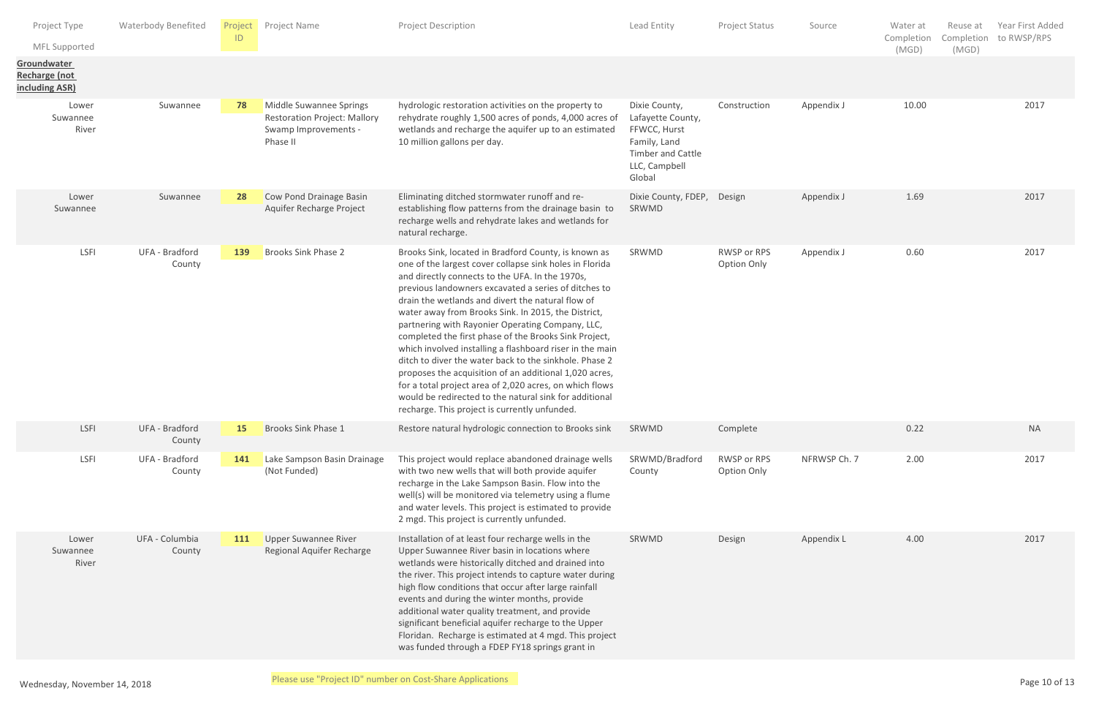| Project Type<br>MFL Supported                  | <b>Waterbody Benefited</b> | ID        | Project Project Name                                                                               | <b>Project Description</b>                                                                                                                                                                                                                                                                                                                                                                                                                                                                                                                                                                                                                                                                                                                                                                                | Lead Entity                                                                                                               | Project Status             | Source       | Water at<br>Completion<br>(MGD) | Reuse at<br>Completion<br>(MGD) | Year First Added<br>to RWSP/RPS |
|------------------------------------------------|----------------------------|-----------|----------------------------------------------------------------------------------------------------|-----------------------------------------------------------------------------------------------------------------------------------------------------------------------------------------------------------------------------------------------------------------------------------------------------------------------------------------------------------------------------------------------------------------------------------------------------------------------------------------------------------------------------------------------------------------------------------------------------------------------------------------------------------------------------------------------------------------------------------------------------------------------------------------------------------|---------------------------------------------------------------------------------------------------------------------------|----------------------------|--------------|---------------------------------|---------------------------------|---------------------------------|
| Groundwater<br>Recharge (not<br>including ASR) |                            |           |                                                                                                    |                                                                                                                                                                                                                                                                                                                                                                                                                                                                                                                                                                                                                                                                                                                                                                                                           |                                                                                                                           |                            |              |                                 |                                 |                                 |
| Lower<br>Suwannee<br>River                     | Suwannee                   | 78        | Middle Suwannee Springs<br><b>Restoration Project: Mallory</b><br>Swamp Improvements -<br>Phase II | hydrologic restoration activities on the property to<br>rehydrate roughly 1,500 acres of ponds, 4,000 acres of<br>wetlands and recharge the aquifer up to an estimated<br>10 million gallons per day.                                                                                                                                                                                                                                                                                                                                                                                                                                                                                                                                                                                                     | Dixie County,<br>Lafayette County,<br>FFWCC, Hurst<br>Family, Land<br><b>Timber and Cattle</b><br>LLC, Campbell<br>Global | Construction               | Appendix J   | 10.00                           |                                 | 2017                            |
| Lower<br>Suwannee                              | Suwannee                   | 28        | Cow Pond Drainage Basin<br>Aquifer Recharge Project                                                | Eliminating ditched stormwater runoff and re-<br>establishing flow patterns from the drainage basin to<br>recharge wells and rehydrate lakes and wetlands for<br>natural recharge.                                                                                                                                                                                                                                                                                                                                                                                                                                                                                                                                                                                                                        | Dixie County, FDEP, Design<br>SRWMD                                                                                       |                            | Appendix J   | 1.69                            |                                 | 2017                            |
| LSFI                                           | UFA - Bradford<br>County   | 139       | Brooks Sink Phase 2                                                                                | Brooks Sink, located in Bradford County, is known as<br>one of the largest cover collapse sink holes in Florida<br>and directly connects to the UFA. In the 1970s,<br>previous landowners excavated a series of ditches to<br>drain the wetlands and divert the natural flow of<br>water away from Brooks Sink. In 2015, the District,<br>partnering with Rayonier Operating Company, LLC,<br>completed the first phase of the Brooks Sink Project,<br>which involved installing a flashboard riser in the main<br>ditch to diver the water back to the sinkhole. Phase 2<br>proposes the acquisition of an additional 1,020 acres,<br>for a total project area of 2,020 acres, on which flows<br>would be redirected to the natural sink for additional<br>recharge. This project is currently unfunded. | SRWMD                                                                                                                     | RWSP or RPS<br>Option Only | Appendix J   | 0.60                            |                                 | 2017                            |
| LSFI                                           | UFA - Bradford<br>County   | <b>15</b> | <b>Brooks Sink Phase 1</b>                                                                         | Restore natural hydrologic connection to Brooks sink                                                                                                                                                                                                                                                                                                                                                                                                                                                                                                                                                                                                                                                                                                                                                      | SRWMD                                                                                                                     | Complete                   |              | 0.22                            |                                 | <b>NA</b>                       |
| <b>LSFI</b>                                    | UFA - Bradford<br>County   | 141       | Lake Sampson Basin Drainage<br>(Not Funded)                                                        | This project would replace abandoned drainage wells<br>with two new wells that will both provide aquifer<br>recharge in the Lake Sampson Basin. Flow into the<br>well(s) will be monitored via telemetry using a flume<br>and water levels. This project is estimated to provide<br>2 mgd. This project is currently unfunded.                                                                                                                                                                                                                                                                                                                                                                                                                                                                            | SRWMD/Bradford<br>County                                                                                                  | RWSP or RPS<br>Option Only | NFRWSP Ch. 7 | 2.00                            |                                 | 2017                            |
| Lower<br>Suwannee<br>River                     | UFA - Columbia<br>County   | 111       | <b>Upper Suwannee River</b><br>Regional Aquifer Recharge                                           | Installation of at least four recharge wells in the<br>Upper Suwannee River basin in locations where<br>wetlands were historically ditched and drained into<br>the river. This project intends to capture water during<br>high flow conditions that occur after large rainfall<br>events and during the winter months, provide<br>additional water quality treatment, and provide<br>significant beneficial aquifer recharge to the Upper<br>Floridan. Recharge is estimated at 4 mgd. This project<br>was funded through a FDEP FY18 springs grant in                                                                                                                                                                                                                                                    | SRWMD                                                                                                                     | Design                     | Appendix L   | 4.00                            |                                 | 2017                            |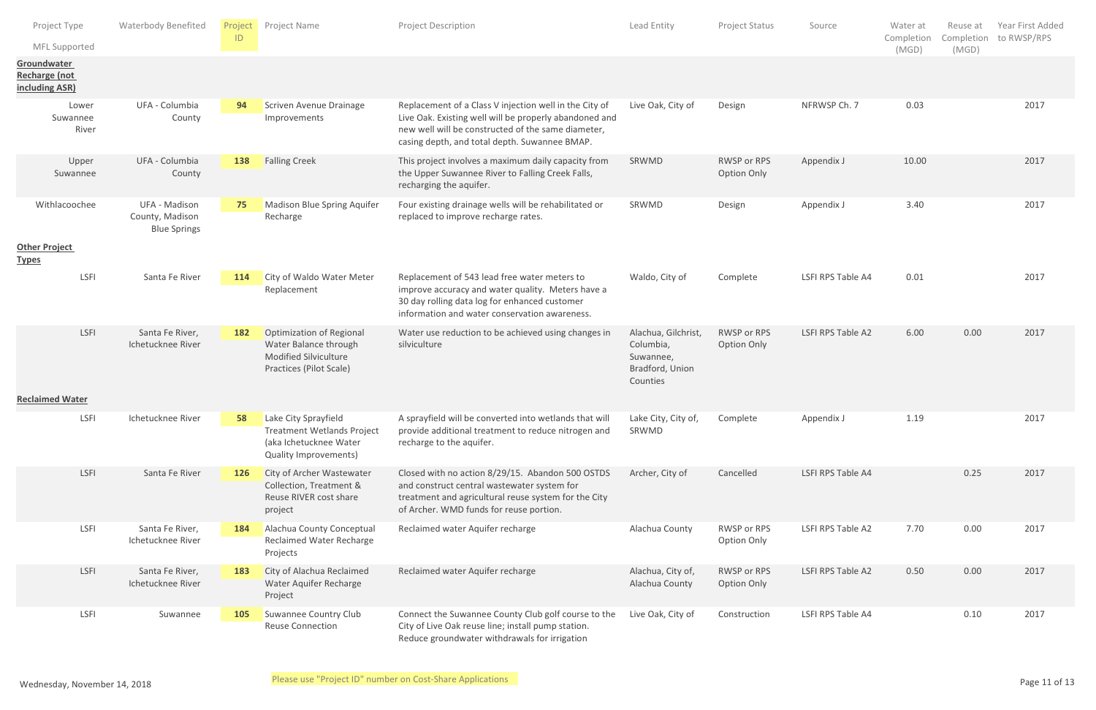|              | Project Type<br>MFL Supported                  | <b>Waterbody Benefited</b>                              | Project<br>ID | Project Name                                                                                                        | Project Description                                                                                                                                                                                                     | Lead Entity                                                                  | Project Status             | Source            | Water at<br>Completion<br>(MGD) | Reuse at<br>Completion<br>(MGD) | Year First Added<br>to RWSP/RPS |
|--------------|------------------------------------------------|---------------------------------------------------------|---------------|---------------------------------------------------------------------------------------------------------------------|-------------------------------------------------------------------------------------------------------------------------------------------------------------------------------------------------------------------------|------------------------------------------------------------------------------|----------------------------|-------------------|---------------------------------|---------------------------------|---------------------------------|
|              | Groundwater<br>Recharge (not<br>including ASR) |                                                         |               |                                                                                                                     |                                                                                                                                                                                                                         |                                                                              |                            |                   |                                 |                                 |                                 |
|              | Lower<br>Suwannee<br>River                     | UFA - Columbia<br>County                                | 94            | Scriven Avenue Drainage<br>Improvements                                                                             | Replacement of a Class V injection well in the City of<br>Live Oak. Existing well will be properly abandoned and<br>new well will be constructed of the same diameter,<br>casing depth, and total depth. Suwannee BMAP. | Live Oak, City of                                                            | Design                     | NFRWSP Ch. 7      | 0.03                            |                                 | 2017                            |
|              | Upper<br>Suwannee                              | UFA - Columbia<br>County                                | 138           | <b>Falling Creek</b>                                                                                                | This project involves a maximum daily capacity from<br>the Upper Suwannee River to Falling Creek Falls,<br>recharging the aquifer.                                                                                      | SRWMD                                                                        | RWSP or RPS<br>Option Only | Appendix J        | 10.00                           |                                 | 2017                            |
|              | Withlacoochee                                  | UFA - Madison<br>County, Madison<br><b>Blue Springs</b> | 75            | Madison Blue Spring Aquifer<br>Recharge                                                                             | Four existing drainage wells will be rehabilitated or<br>replaced to improve recharge rates.                                                                                                                            | SRWMD                                                                        | Design                     | Appendix J        | 3.40                            |                                 | 2017                            |
| <b>Types</b> | <b>Other Project</b>                           |                                                         |               |                                                                                                                     |                                                                                                                                                                                                                         |                                                                              |                            |                   |                                 |                                 |                                 |
|              | <b>LSFI</b>                                    | Santa Fe River                                          | 114           | City of Waldo Water Meter<br>Replacement                                                                            | Replacement of 543 lead free water meters to<br>improve accuracy and water quality. Meters have a<br>30 day rolling data log for enhanced customer<br>information and water conservation awareness.                     | Waldo, City of                                                               | Complete                   | LSFI RPS Table A4 | 0.01                            |                                 | 2017                            |
|              | LSFI                                           | Santa Fe River,<br>Ichetucknee River                    | 182           | <b>Optimization of Regional</b><br>Water Balance through<br>Modified Silviculture<br>Practices (Pilot Scale)        | Water use reduction to be achieved using changes in<br>silviculture                                                                                                                                                     | Alachua, Gilchrist,<br>Columbia,<br>Suwannee,<br>Bradford, Union<br>Counties | RWSP or RPS<br>Option Only | LSFI RPS Table A2 | 6.00                            | 0.00                            | 2017                            |
|              | <b>Reclaimed Water</b>                         |                                                         |               |                                                                                                                     |                                                                                                                                                                                                                         |                                                                              |                            |                   |                                 |                                 |                                 |
|              | LSFI                                           | Ichetucknee River                                       | 58            | Lake City Sprayfield<br><b>Treatment Wetlands Project</b><br>(aka Ichetucknee Water<br><b>Quality Improvements)</b> | A sprayfield will be converted into wetlands that will<br>provide additional treatment to reduce nitrogen and<br>recharge to the aquifer.                                                                               | Lake City, City of,<br>SRWMD                                                 | Complete                   | Appendix J        | 1.19                            |                                 | 2017                            |
|              | LSFI                                           | Santa Fe River                                          | <b>126</b>    | City of Archer Wastewater<br>Collection, Treatment &<br>Reuse RIVER cost share<br>project                           | Closed with no action 8/29/15. Abandon 500 OSTDS<br>and construct central wastewater system for<br>treatment and agricultural reuse system for the City<br>of Archer. WMD funds for reuse portion.                      | Archer, City of                                                              | Cancelled                  | LSFI RPS Table A4 |                                 | 0.25                            | 2017                            |
|              | LSFI                                           | Santa Fe River,<br>Ichetucknee River                    | 184           | Alachua County Conceptual<br><b>Reclaimed Water Recharge</b><br>Projects                                            | Reclaimed water Aquifer recharge                                                                                                                                                                                        | Alachua County                                                               | RWSP or RPS<br>Option Only | LSFI RPS Table A2 | 7.70                            | 0.00                            | 2017                            |
|              | LSFI                                           | Santa Fe River,<br>Ichetucknee River                    | 183           | City of Alachua Reclaimed<br>Water Aquifer Recharge<br>Project                                                      | Reclaimed water Aquifer recharge                                                                                                                                                                                        | Alachua, City of,<br>Alachua County                                          | RWSP or RPS<br>Option Only | LSFI RPS Table A2 | 0.50                            | 0.00                            | 2017                            |
|              | <b>LSFI</b>                                    | Suwannee                                                | <b>105</b>    | Suwannee Country Club<br><b>Reuse Connection</b>                                                                    | Connect the Suwannee County Club golf course to the<br>City of Live Oak reuse line; install pump station.<br>Reduce groundwater withdrawals for irrigation                                                              | Live Oak, City of                                                            | Construction               | LSFI RPS Table A4 |                                 | 0.10                            | 2017                            |
|              |                                                |                                                         |               |                                                                                                                     | Please use "Project ID" number on Cost-Share Applications                                                                                                                                                               |                                                                              |                            |                   |                                 |                                 | Dosea 11 af 12                  |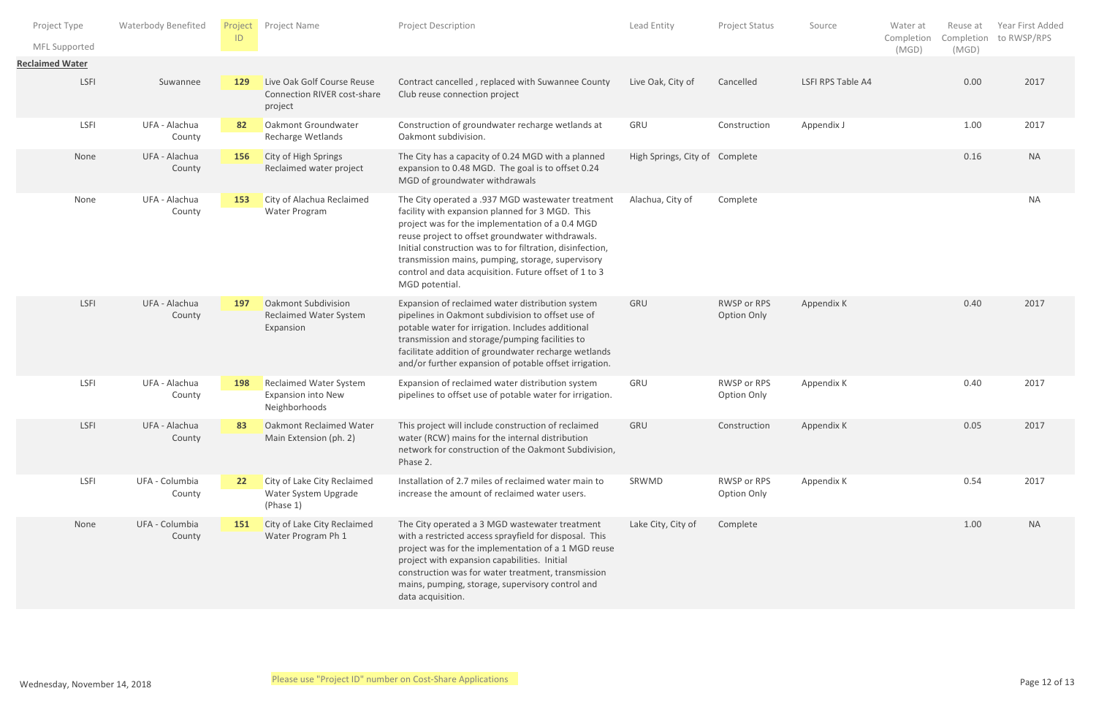| Project Type                            | Waterbody Benefited      | Project<br>ID | Project Name                                                                | <b>Project Description</b>                                                                                                                                                                                                                                                                                                                                                                               | Lead Entity                    | Project Status                    | Source            | Water at<br>Completion | Reuse at | Year First Added<br>Completion to RWSP/RPS |
|-----------------------------------------|--------------------------|---------------|-----------------------------------------------------------------------------|----------------------------------------------------------------------------------------------------------------------------------------------------------------------------------------------------------------------------------------------------------------------------------------------------------------------------------------------------------------------------------------------------------|--------------------------------|-----------------------------------|-------------------|------------------------|----------|--------------------------------------------|
| MFL Supported<br><b>Reclaimed Water</b> |                          |               |                                                                             |                                                                                                                                                                                                                                                                                                                                                                                                          |                                |                                   |                   | (MGD)                  | (MGD)    |                                            |
| LSFI                                    | Suwannee                 | 129           | Live Oak Golf Course Reuse<br><b>Connection RIVER cost-share</b><br>project | Contract cancelled, replaced with Suwannee County<br>Club reuse connection project                                                                                                                                                                                                                                                                                                                       | Live Oak, City of              | Cancelled                         | LSFI RPS Table A4 |                        | 0.00     | 2017                                       |
| LSFI                                    | UFA - Alachua<br>County  | 82            | Oakmont Groundwater<br>Recharge Wetlands                                    | Construction of groundwater recharge wetlands at<br>Oakmont subdivision.                                                                                                                                                                                                                                                                                                                                 | GRU                            | Construction                      | Appendix J        |                        | 1.00     | 2017                                       |
| None                                    | UFA - Alachua<br>County  | 156           | City of High Springs<br>Reclaimed water project                             | The City has a capacity of 0.24 MGD with a planned<br>expansion to 0.48 MGD. The goal is to offset 0.24<br>MGD of groundwater withdrawals                                                                                                                                                                                                                                                                | High Springs, City of Complete |                                   |                   |                        | 0.16     | <b>NA</b>                                  |
| None                                    | UFA - Alachua<br>County  | 153           | City of Alachua Reclaimed<br>Water Program                                  | The City operated a .937 MGD wastewater treatment<br>facility with expansion planned for 3 MGD. This<br>project was for the implementation of a 0.4 MGD<br>reuse project to offset groundwater withdrawals.<br>Initial construction was to for filtration, disinfection,<br>transmission mains, pumping, storage, supervisory<br>control and data acquisition. Future offset of 1 to 3<br>MGD potential. | Alachua, City of               | Complete                          |                   |                        |          | <b>NA</b>                                  |
| LSFI                                    | UFA - Alachua<br>County  | <b>197</b>    | <b>Oakmont Subdivision</b><br>Reclaimed Water System<br>Expansion           | Expansion of reclaimed water distribution system<br>pipelines in Oakmont subdivision to offset use of<br>potable water for irrigation. Includes additional<br>transmission and storage/pumping facilities to<br>facilitate addition of groundwater recharge wetlands<br>and/or further expansion of potable offset irrigation.                                                                           | GRU                            | RWSP or RPS<br><b>Option Only</b> | Appendix K        |                        | 0.40     | 2017                                       |
| LSFI                                    | UFA - Alachua<br>County  | 198           | <b>Reclaimed Water System</b><br><b>Expansion into New</b><br>Neighborhoods | Expansion of reclaimed water distribution system<br>pipelines to offset use of potable water for irrigation.                                                                                                                                                                                                                                                                                             | GRU                            | RWSP or RPS<br>Option Only        | Appendix K        |                        | 0.40     | 2017                                       |
| LSFI                                    | UFA - Alachua<br>County  | 83            | <b>Oakmont Reclaimed Water</b><br>Main Extension (ph. 2)                    | This project will include construction of reclaimed<br>water (RCW) mains for the internal distribution<br>network for construction of the Oakmont Subdivision,<br>Phase 2.                                                                                                                                                                                                                               | GRU                            | Construction                      | Appendix K        |                        | 0.05     | 2017                                       |
| LSFI                                    | UFA - Columbia<br>County | 22            | City of Lake City Reclaimed<br>Water System Upgrade<br>(Phase 1)            | Installation of 2.7 miles of reclaimed water main to<br>increase the amount of reclaimed water users.                                                                                                                                                                                                                                                                                                    | SRWMD                          | RWSP or RPS<br>Option Only        | Appendix K        |                        | 0.54     | 2017                                       |
| None                                    | UFA - Columbia<br>County | 151           | City of Lake City Reclaimed<br>Water Program Ph 1                           | The City operated a 3 MGD wastewater treatment<br>with a restricted access sprayfield for disposal. This<br>project was for the implementation of a 1 MGD reuse<br>project with expansion capabilities. Initial<br>construction was for water treatment, transmission<br>mains, pumping, storage, supervisory control and<br>data acquisition.                                                           | Lake City, City of             | Complete                          |                   |                        | 1.00     | <b>NA</b>                                  |